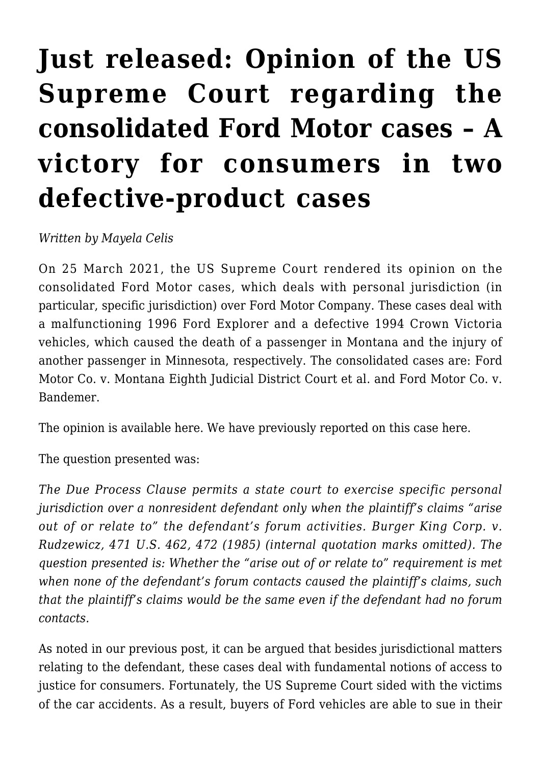## **[Just released: Opinion of the US](https://conflictoflaws.net/2021/just-released-opinion-of-the-us-supreme-court-regarding-the-consolidated-ford-motor-cases-a-victory-for-consumers-in-two-defective-product-cases/) [Supreme Court regarding the](https://conflictoflaws.net/2021/just-released-opinion-of-the-us-supreme-court-regarding-the-consolidated-ford-motor-cases-a-victory-for-consumers-in-two-defective-product-cases/) [consolidated Ford Motor cases – A](https://conflictoflaws.net/2021/just-released-opinion-of-the-us-supreme-court-regarding-the-consolidated-ford-motor-cases-a-victory-for-consumers-in-two-defective-product-cases/) [victory for consumers in two](https://conflictoflaws.net/2021/just-released-opinion-of-the-us-supreme-court-regarding-the-consolidated-ford-motor-cases-a-victory-for-consumers-in-two-defective-product-cases/) [defective-product cases](https://conflictoflaws.net/2021/just-released-opinion-of-the-us-supreme-court-regarding-the-consolidated-ford-motor-cases-a-victory-for-consumers-in-two-defective-product-cases/)**

*Written by Mayela Celis*

On 25 March 2021, the US Supreme Court rendered its opinion on the consolidated Ford Motor cases, which deals with personal jurisdiction (in particular, specific jurisdiction) over Ford Motor Company. These cases deal with a malfunctioning 1996 Ford Explorer and a defective 1994 Crown Victoria vehicles, which caused the death of a passenger in Montana and the injury of another passenger in Minnesota, respectively. The consolidated cases are: [Ford](https://www.supremecourt.gov/search.aspx?filename=/docket/docketfiles/html/public/19-368.html) [Motor Co. v. Montana Eighth Judicial District Court et al.](https://www.supremecourt.gov/search.aspx?filename=/docket/docketfiles/html/public/19-368.html) and [Ford Motor Co. v.](https://www.supremecourt.gov/search.aspx?filename=/docket/docketfiles/html/public/19-369.html) [Bandemer.](https://www.supremecourt.gov/search.aspx?filename=/docket/docketfiles/html/public/19-369.html)

The opinion is available [here](https://www.supremecourt.gov/opinions/20pdf/19-368_febh.pdf). We have previously reported on this case [here](https://conflictoflaws.net/2020/personal-jurisdiction-over-a-non-resident-defendant-in-a-product-liability-case-to-be-argued-before-the-us-supreme-court-today-the-consolidated-ford-motor-cases/).

The question presented was:

*The Due Process Clause permits a state court to exercise specific personal jurisdiction over a nonresident defendant only when the plaintiff's claims "arise out of or relate to" the defendant's forum activities. Burger King Corp. v. Rudzewicz, 471 U.S. 462, 472 (1985) (internal quotation marks omitted). The question presented is: Whether the "arise out of or relate to" requirement is met when none of the defendant's forum contacts caused the plaintiff's claims, such that the plaintiff's claims would be the same even if the defendant had no forum contacts.*

As noted in our previous post, it can be argued that besides jurisdictional matters relating to the defendant, these cases deal with fundamental notions of access to justice for consumers. Fortunately, the US Supreme Court sided with the victims of the car accidents. As a result, buyers of Ford vehicles are able to sue in their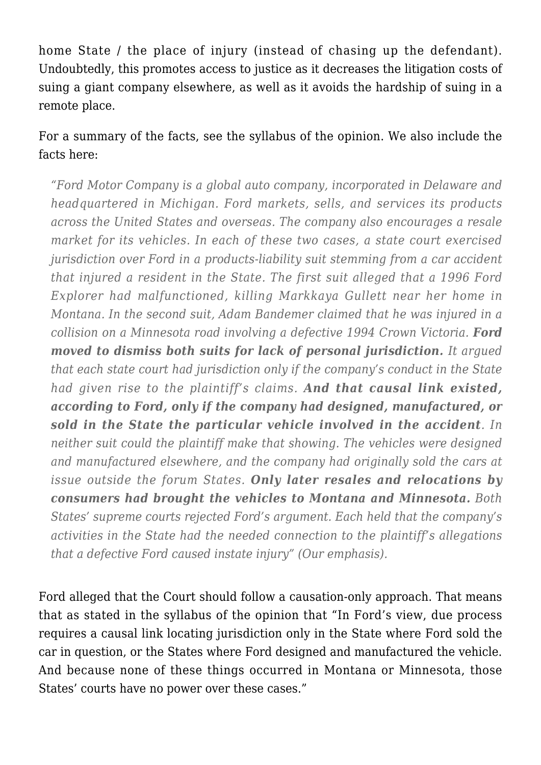home State / the place of injury (instead of chasing up the defendant). Undoubtedly, this promotes access to justice as it decreases the litigation costs of suing a giant company elsewhere, as well as it avoids the hardship of suing in a remote place.

For a summary of the facts, see the [syllabus of the opinion.](https://www.supremecourt.gov/opinions/20pdf/19-368_febh.pdf) We also include the facts here:

*"Ford Motor Company is a global auto company, incorporated in Delaware and headquartered in Michigan. Ford markets, sells, and services its products across the United States and overseas. The company also encourages a resale market for its vehicles. In each of these two cases, a state court exercised jurisdiction over Ford in a products-liability suit stemming from a car accident that injured a resident in the State. The first suit alleged that a 1996 Ford Explorer had malfunctioned, killing Markkaya Gullett near her home in Montana. In the second suit, Adam Bandemer claimed that he was injured in a collision on a Minnesota road involving a defective 1994 Crown Victoria. Ford moved to dismiss both suits for lack of personal jurisdiction. It argued that each state court had jurisdiction only if the company's conduct in the State had given rise to the plaintiff's claims. And that causal link existed, according to Ford, only if the company had designed, manufactured, or sold in the State the particular vehicle involved in the accident. In neither suit could the plaintiff make that showing. The vehicles were designed and manufactured elsewhere, and the company had originally sold the cars at issue outside the forum States. Only later resales and relocations by consumers had brought the vehicles to Montana and Minnesota. Both States' supreme courts rejected Ford's argument. Each held that the company's activities in the State had the needed connection to the plaintiff's allegations that a defective Ford caused instate injury" (Our emphasis).*

Ford alleged that the Court should follow a causation-only approach. That means that as stated in the syllabus of the opinion that "In Ford's view, due process requires a causal link locating jurisdiction only in the State where Ford sold the car in question, or the States where Ford designed and manufactured the vehicle. And because none of these things occurred in Montana or Minnesota, those States' courts have no power over these cases."